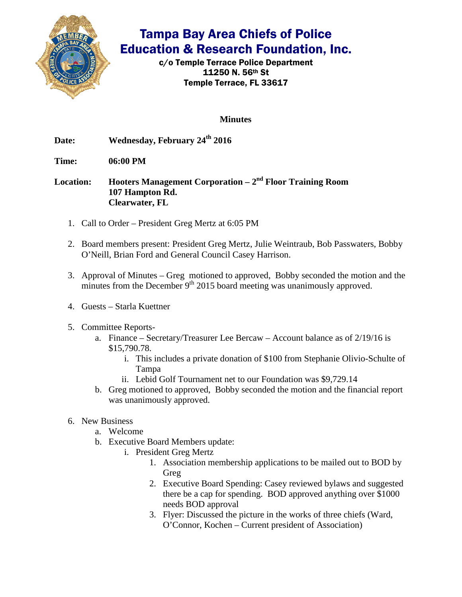

c/o Temple Terrace Police Department 11250 N. 56th St Temple Terrace, FL 33617

**Minutes**

Date: Wednesday, February 24<sup>th</sup> 2016

**Time: 06:00 PM** 

**Location: Hooters Management Corporation – 2nd Floor Training Room 107 Hampton Rd. Clearwater, FL** 

- 1. Call to Order President Greg Mertz at 6:05 PM
- 2. Board members present: President Greg Mertz, Julie Weintraub, Bob Passwaters, Bobby O'Neill, Brian Ford and General Council Casey Harrison.
- 3. Approval of Minutes Greg motioned to approved, Bobby seconded the motion and the minutes from the December  $9<sup>th</sup> 2015$  board meeting was unanimously approved.
- 4. Guests Starla Kuettner
- 5. Committee Reports
	- a. Finance Secretary/Treasurer Lee Bercaw Account balance as of 2/19/16 is \$15,790.78.
		- i. This includes a private donation of \$100 from Stephanie Olivio-Schulte of Tampa
		- ii. Lebid Golf Tournament net to our Foundation was \$9,729.14
	- b. Greg motioned to approved, Bobby seconded the motion and the financial report was unanimously approved.
- 6. New Business
	- a. Welcome
	- b. Executive Board Members update:
		- i. President Greg Mertz
			- 1. Association membership applications to be mailed out to BOD by Greg
			- 2. Executive Board Spending: Casey reviewed bylaws and suggested there be a cap for spending. BOD approved anything over \$1000 needs BOD approval
			- 3. Flyer: Discussed the picture in the works of three chiefs (Ward, O'Connor, Kochen – Current president of Association)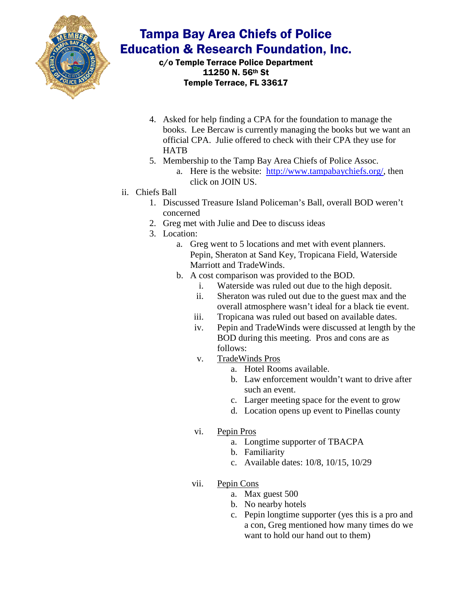

c/o Temple Terrace Police Department 11250 N. 56th St Temple Terrace, FL 33617

- 4. Asked for help finding a CPA for the foundation to manage the books. Lee Bercaw is currently managing the books but we want an official CPA. Julie offered to check with their CPA they use for **HATB**
- 5. Membership to the Tamp Bay Area Chiefs of Police Assoc.
	- a. Here is the website: [http://www.tampabaychiefs.org/,](https://email.tampagov.net/owa/redir.aspx?REF=xBFppw9PKvSSNBLhgeK08XyA89vqbe_khBi4RDseCd0a77th7n3TCAFodHRwOi8vd3d3LnRhbXBhYmF5Y2hpZWZzLm9yZy8.) then click on JOIN US.
- ii. Chiefs Ball
	- 1. Discussed Treasure Island Policeman's Ball, overall BOD weren't concerned
	- 2. Greg met with Julie and Dee to discuss ideas
	- 3. Location:
		- a. Greg went to 5 locations and met with event planners. Pepin, Sheraton at Sand Key, Tropicana Field, Waterside Marriott and TradeWinds.
		- b. A cost comparison was provided to the BOD.
			- i. Waterside was ruled out due to the high deposit.
			- ii. Sheraton was ruled out due to the guest max and the overall atmosphere wasn't ideal for a black tie event.
			- iii. Tropicana was ruled out based on available dates.
			- iv. Pepin and TradeWinds were discussed at length by the BOD during this meeting. Pros and cons are as follows:
			- v. TradeWinds Pros
				- a. Hotel Rooms available.
				- b. Law enforcement wouldn't want to drive after such an event.
				- c. Larger meeting space for the event to grow
				- d. Location opens up event to Pinellas county
			- vi. Pepin Pros
				- a. Longtime supporter of TBACPA
				- b. Familiarity
				- c. Available dates: 10/8, 10/15, 10/29
			- vii. Pepin Cons
				- a. Max guest 500
				- b. No nearby hotels
				- c. Pepin longtime supporter (yes this is a pro and a con, Greg mentioned how many times do we want to hold our hand out to them)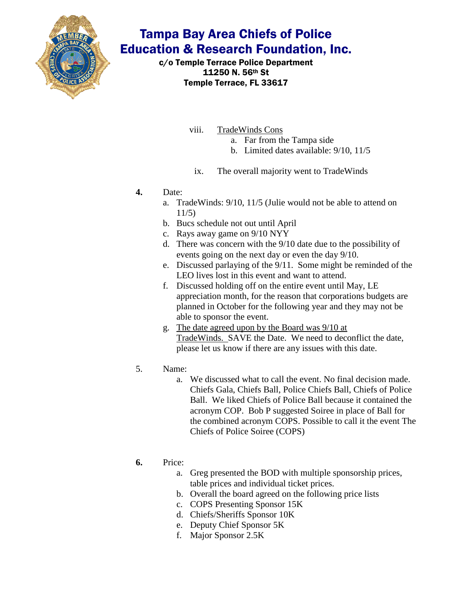

c/o Temple Terrace Police Department 11250 N. 56th St Temple Terrace, FL 33617

- viii. TradeWinds Cons
	- a. Far from the Tampa side
	- b. Limited dates available: 9/10, 11/5
	- ix. The overall majority went to TradeWinds
- **4.** Date:
	- a. TradeWinds: 9/10, 11/5 (Julie would not be able to attend on 11/5)
	- b. Bucs schedule not out until April
	- c. Rays away game on 9/10 NYY
	- d. There was concern with the 9/10 date due to the possibility of events going on the next day or even the day 9/10.
	- e. Discussed parlaying of the 9/11. Some might be reminded of the LEO lives lost in this event and want to attend.
	- f. Discussed holding off on the entire event until May, LE appreciation month, for the reason that corporations budgets are planned in October for the following year and they may not be able to sponsor the event.
	- g. The date agreed upon by the Board was 9/10 at TradeWinds. SAVE the Date. We need to deconflict the date, please let us know if there are any issues with this date.
- 5. Name:
	- a. We discussed what to call the event. No final decision made. Chiefs Gala, Chiefs Ball, Police Chiefs Ball, Chiefs of Police Ball. We liked Chiefs of Police Ball because it contained the acronym COP. Bob P suggested Soiree in place of Ball for the combined acronym COPS. Possible to call it the event The Chiefs of Police Soiree (COPS)

#### **6.** Price:

- a. Greg presented the BOD with multiple sponsorship prices, table prices and individual ticket prices.
- b. Overall the board agreed on the following price lists
- c. COPS Presenting Sponsor 15K
- d. Chiefs/Sheriffs Sponsor 10K
- e. Deputy Chief Sponsor 5K
- f. Major Sponsor 2.5K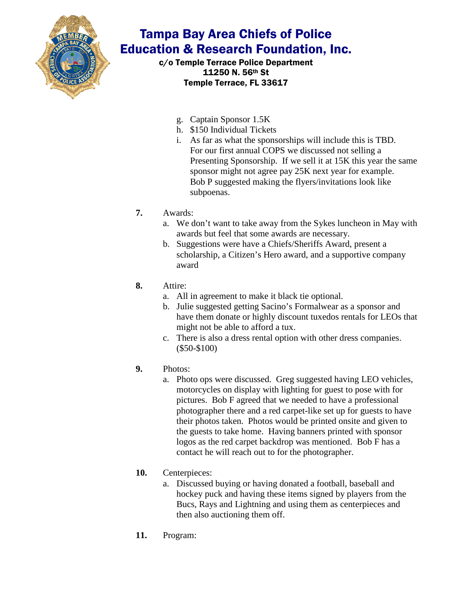

c/o Temple Terrace Police Department 11250 N. 56th St Temple Terrace, FL 33617

- g. Captain Sponsor 1.5K
- h. \$150 Individual Tickets
- i. As far as what the sponsorships will include this is TBD. For our first annual COPS we discussed not selling a Presenting Sponsorship. If we sell it at 15K this year the same sponsor might not agree pay 25K next year for example. Bob P suggested making the flyers/invitations look like subpoenas.
- **7.** Awards:
	- a. We don't want to take away from the Sykes luncheon in May with awards but feel that some awards are necessary.
	- b. Suggestions were have a Chiefs/Sheriffs Award, present a scholarship, a Citizen's Hero award, and a supportive company award

#### **8.** Attire:

- a. All in agreement to make it black tie optional.
- b. Julie suggested getting Sacino's Formalwear as a sponsor and have them donate or highly discount tuxedos rentals for LEOs that might not be able to afford a tux.
- c. There is also a dress rental option with other dress companies. (\$50-\$100)
- **9.** Photos:
	- a. Photo ops were discussed. Greg suggested having LEO vehicles, motorcycles on display with lighting for guest to pose with for pictures. Bob F agreed that we needed to have a professional photographer there and a red carpet-like set up for guests to have their photos taken. Photos would be printed onsite and given to the guests to take home. Having banners printed with sponsor logos as the red carpet backdrop was mentioned. Bob F has a contact he will reach out to for the photographer.

#### **10.** Centerpieces:

- a. Discussed buying or having donated a football, baseball and hockey puck and having these items signed by players from the Bucs, Rays and Lightning and using them as centerpieces and then also auctioning them off.
- **11.** Program: